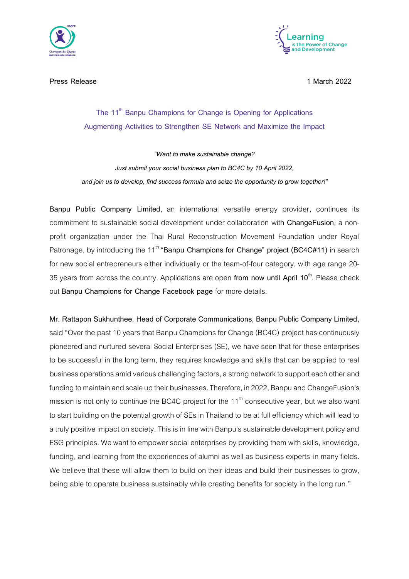

**Press Release 1 March 2022**



## **The 11th Banpu Champions for Change is Opening for Applications Augmenting Activities to Strengthen SE Network and Maximize the Impact**

*"Want to make sustainable change? Just submit your social business plan to BC4C by 10 April 2022, and join us to develop, find success formula and seize the opportunity to grow together!"*

**Banpu Public Company Limited**, an international versatile energy provider, continues its commitment to sustainable social development under collaboration with **ChangeFusion**, a nonprofit organization under the Thai Rural Reconstruction Movement Foundation under Royal Patronage, by introducing the 11<sup>th</sup> "Banpu Champions for Change" project (BC4C#11) in search for new social entrepreneurs either individually or the team-of-four category, with age range 20- 35 years from across the country. Applications are open **from now until April 10th** . Please check out **Banpu Champions for Change Facebook page** for more details.

**Mr. Rattapon Sukhunthee, Head of Corporate Communications, Banpu Public Company Limited**, said "Over the past 10 years that Banpu Champions for Change (BC4C) project has continuously pioneered and nurtured several Social Enterprises (SE), we have seen that for these enterprises to be successful in the long term, they requires knowledge and skills that can be applied to real business operations amid various challenging factors, a strong network to support each otherand funding to maintain and scale up their businesses. Therefore, in 2022, Banpu and ChangeFusion's mission is not only to continue the BC4C project for the  $11<sup>th</sup>$  consecutive year, but we also want to start building on the potential growth of SEs in Thailand to be at full efficiency which will lead to a truly positive impact on society. This is in line with Banpu's sustainable development policy and ESG principles. We want to empower social enterprises by providing them with skills, knowledge, funding, and learning from the experiences of alumni as well as business experts in many fields. We believe that these will allow them to build on their ideas and build their businesses to grow, being able to operate business sustainably while creating benefits for society in the long run."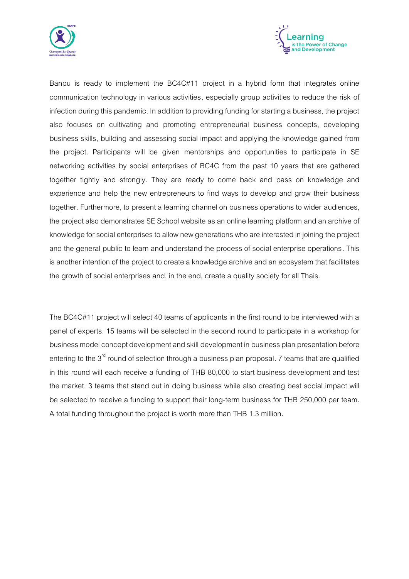



Banpu is ready to implement the BC4C#11 project in a hybrid form that integrates online communication technology in various activities, especially group activities to reduce the risk of infection during this pandemic. In addition to providing funding for starting a business, the project also focuses on cultivating and promoting entrepreneurial business concepts, developing business skills, building and assessing social impact and applying the knowledge gained from the project. Participants will be given mentorships and opportunities to participate in SE networking activities by social enterprises of BC4C from the past 10 years that are gathered together tightly and strongly. They are ready to come back and pass on knowledge and experience and help the new entrepreneurs to find ways to develop and grow their business together. Furthermore, to present a learning channel on business operations to wider audiences, the project also demonstrates SE School website as an online learning platform and an archive of knowledge for social enterprises to allow new generations who are interested in joining the project and the general public to learn and understand the process of social enterprise operations. This is another intention of the project to create aknowledge archive and an ecosystem that facilitates the growth of social enterprises and, in the end, create a quality society for all Thais.

The BC4C#11 project will select 40 teams of applicants in the first round to be interviewed with a panel of experts. 15 teams will be selected in the second round to participate in a workshop for business model concept development and skill development in business plan presentation before entering to the  $3^{rd}$  round of selection through a business plan proposal. 7 teams that are qualified in this round will each receive a funding of THB 80,000 to start business development and test the market. 3 teams that stand out in doing business while also creating best social impact will be selected to receive a funding to support their long-term business for THB 250,000 per team. A total funding throughout the project is worth more than THB 1.3 million.